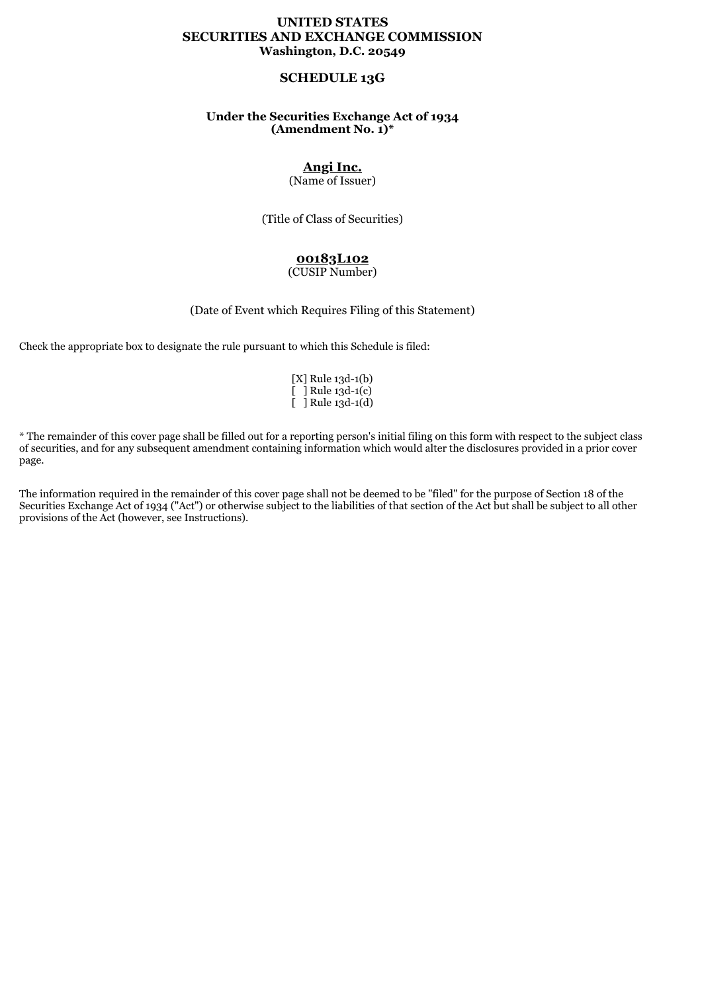## **UNITED STATES SECURITIES AND EXCHANGE COMMISSION Washington, D.C. 20549**

# **SCHEDULE 13G**

## **Under the Securities Exchange Act of 1934 (Amendment No. 1)\***

# **Angi Inc.**

(Name of Issuer)

(Title of Class of Securities)

# **00183L102**

#### (CUSIP Number)

(Date of Event which Requires Filing of this Statement)

Check the appropriate box to designate the rule pursuant to which this Schedule is filed:

|   | [X] Rule 13d-1(b)        |
|---|--------------------------|
|   | $\lceil$ 1 Rule 13d-1(c) |
| Г | ] Rule 13d-1(d)          |

\* The remainder of this cover page shall be filled out for a reporting person's initial filing on this form with respect to the subject class of securities, and for any subsequent amendment containing information which would alter the disclosures provided in a prior cover page.

The information required in the remainder of this cover page shall not be deemed to be "filed" for the purpose of Section 18 of the Securities Exchange Act of 1934 ("Act") or otherwise subject to the liabilities of that section of the Act but shall be subject to all other provisions of the Act (however, see Instructions).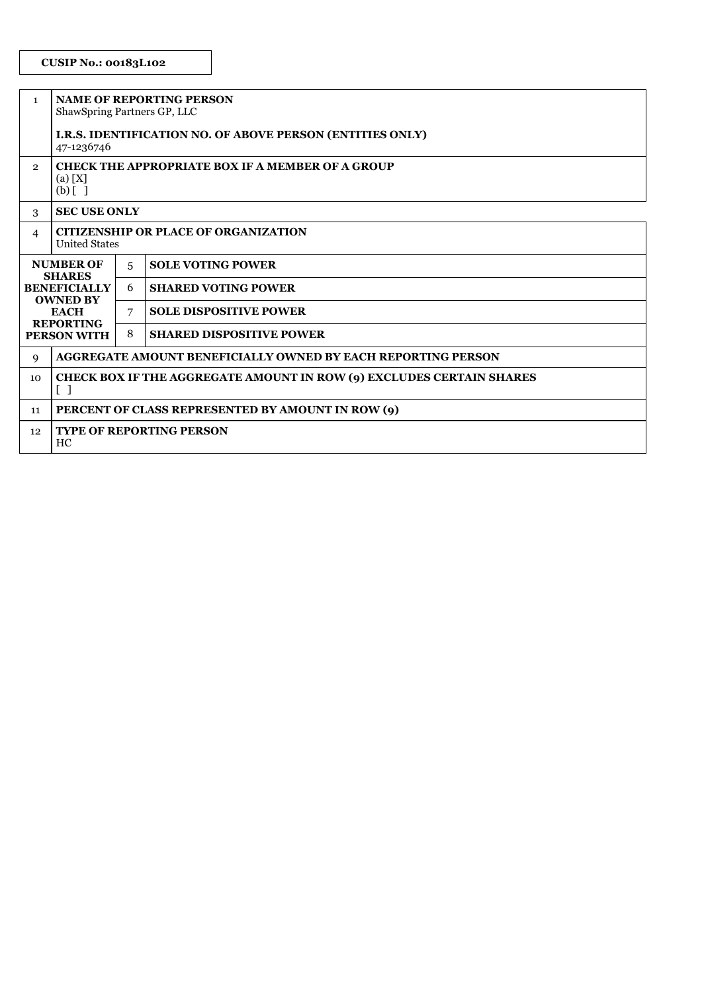# **CUSIP No.: 00183L102**

| $\mathbf{1}$                                                                                                                  | <b>NAME OF REPORTING PERSON</b><br>ShawSpring Partners GP, LLC                                            |   |                                                                     |  |
|-------------------------------------------------------------------------------------------------------------------------------|-----------------------------------------------------------------------------------------------------------|---|---------------------------------------------------------------------|--|
|                                                                                                                               | <b>I.R.S. IDENTIFICATION NO. OF ABOVE PERSON (ENTITIES ONLY)</b><br>47-1236746                            |   |                                                                     |  |
| $\overline{2}$                                                                                                                | <b>CHECK THE APPROPRIATE BOX IF A MEMBER OF A GROUP</b><br>(a) [X]<br>$(b)$ [ ]                           |   |                                                                     |  |
| 3                                                                                                                             | <b>SEC USE ONLY</b>                                                                                       |   |                                                                     |  |
| 4                                                                                                                             | <b>CITIZENSHIP OR PLACE OF ORGANIZATION</b><br><b>United States</b>                                       |   |                                                                     |  |
| <b>NUMBER OF</b><br><b>SHARES</b><br><b>BENEFICIALLY</b><br><b>OWNED BY</b><br><b>EACH</b><br><b>REPORTING</b><br>PERSON WITH |                                                                                                           | 5 | <b>SOLE VOTING POWER</b>                                            |  |
|                                                                                                                               |                                                                                                           | 6 | <b>SHARED VOTING POWER</b>                                          |  |
|                                                                                                                               |                                                                                                           | 7 | <b>SOLE DISPOSITIVE POWER</b>                                       |  |
|                                                                                                                               |                                                                                                           | 8 | <b>SHARED DISPOSITIVE POWER</b>                                     |  |
| 9                                                                                                                             |                                                                                                           |   | <b>AGGREGATE AMOUNT BENEFICIALLY OWNED BY EACH REPORTING PERSON</b> |  |
| 10                                                                                                                            | CHECK BOX IF THE AGGREGATE AMOUNT IN ROW (9) EXCLUDES CERTAIN SHARES<br>$\begin{bmatrix} 1 \end{bmatrix}$ |   |                                                                     |  |
| 11                                                                                                                            | PERCENT OF CLASS REPRESENTED BY AMOUNT IN ROW (9)                                                         |   |                                                                     |  |
| 12                                                                                                                            | <b>TYPE OF REPORTING PERSON</b><br>HC                                                                     |   |                                                                     |  |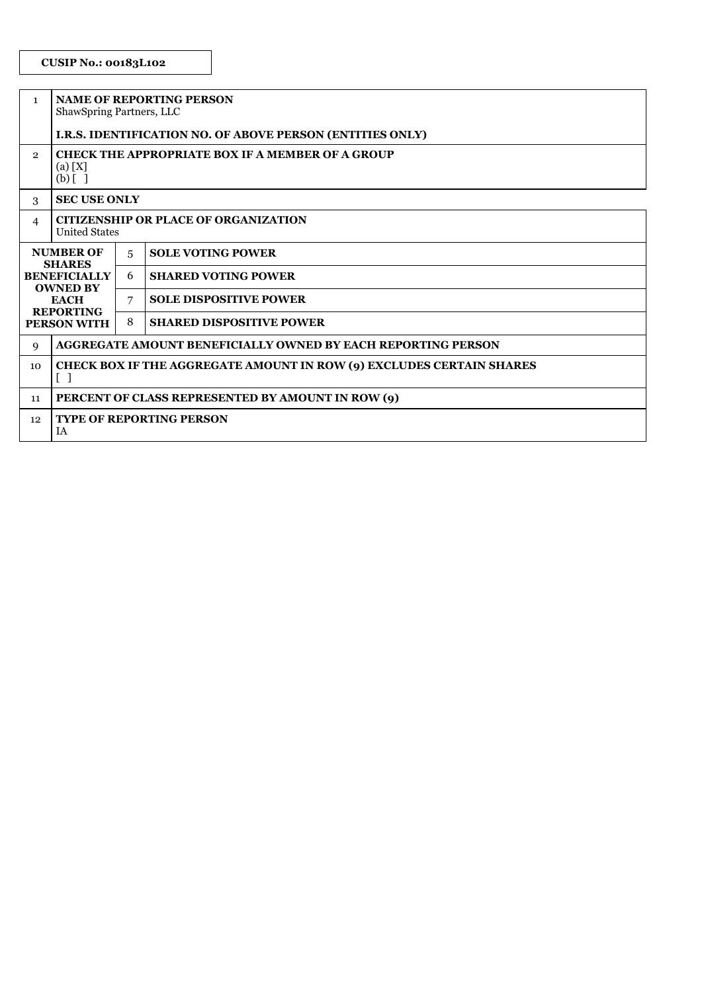| $\mathbf{1}$                                                                                                                  | <b>NAME OF REPORTING PERSON</b><br>ShawSpring Partners, LLC                                                      |   |                                                                  |  |
|-------------------------------------------------------------------------------------------------------------------------------|------------------------------------------------------------------------------------------------------------------|---|------------------------------------------------------------------|--|
|                                                                                                                               |                                                                                                                  |   | <b>I.R.S. IDENTIFICATION NO. OF ABOVE PERSON (ENTITIES ONLY)</b> |  |
| $\overline{2}$                                                                                                                | <b>CHECK THE APPROPRIATE BOX IF A MEMBER OF A GROUP</b><br>(a) [X]<br>$(b)$ []                                   |   |                                                                  |  |
| 3                                                                                                                             | <b>SEC USE ONLY</b>                                                                                              |   |                                                                  |  |
| $\overline{4}$                                                                                                                | <b>CITIZENSHIP OR PLACE OF ORGANIZATION</b><br><b>United States</b>                                              |   |                                                                  |  |
| <b>NUMBER OF</b><br><b>SHARES</b><br><b>BENEFICIALLY</b><br><b>OWNED BY</b><br><b>EACH</b><br><b>REPORTING</b><br>PERSON WITH |                                                                                                                  | 5 | <b>SOLE VOTING POWER</b>                                         |  |
|                                                                                                                               |                                                                                                                  | 6 | <b>SHARED VOTING POWER</b>                                       |  |
|                                                                                                                               |                                                                                                                  | 7 | <b>SOLE DISPOSITIVE POWER</b>                                    |  |
|                                                                                                                               |                                                                                                                  | 8 | <b>SHARED DISPOSITIVE POWER</b>                                  |  |
| 9                                                                                                                             | AGGREGATE AMOUNT BENEFICIALLY OWNED BY EACH REPORTING PERSON                                                     |   |                                                                  |  |
| 10                                                                                                                            | <b>CHECK BOX IF THE AGGREGATE AMOUNT IN ROW (9) EXCLUDES CERTAIN SHARES</b><br>$\begin{bmatrix} 1 \end{bmatrix}$ |   |                                                                  |  |
| 11                                                                                                                            | PERCENT OF CLASS REPRESENTED BY AMOUNT IN ROW (9)                                                                |   |                                                                  |  |
| 12                                                                                                                            | <b>TYPE OF REPORTING PERSON</b><br>IA                                                                            |   |                                                                  |  |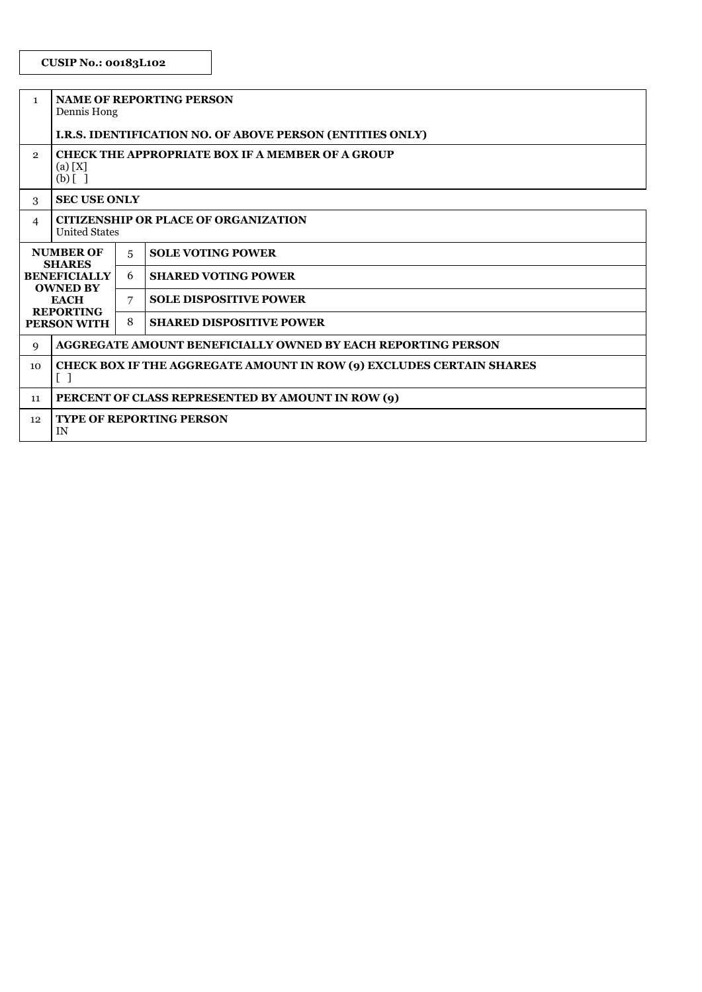| $\mathbf{1}$                                                                                                                  | <b>NAME OF REPORTING PERSON</b><br>Dennis Hong                                                                               |   |                                                                     |  |
|-------------------------------------------------------------------------------------------------------------------------------|------------------------------------------------------------------------------------------------------------------------------|---|---------------------------------------------------------------------|--|
|                                                                                                                               | I.R.S. IDENTIFICATION NO. OF ABOVE PERSON (ENTITIES ONLY)                                                                    |   |                                                                     |  |
| $\mathbf{2}$                                                                                                                  | <b>CHECK THE APPROPRIATE BOX IF A MEMBER OF A GROUP</b><br>(a) [X]<br>$(b)$ [ ]                                              |   |                                                                     |  |
| 3                                                                                                                             | <b>SEC USE ONLY</b>                                                                                                          |   |                                                                     |  |
| 4                                                                                                                             | <b>CITIZENSHIP OR PLACE OF ORGANIZATION</b><br><b>United States</b>                                                          |   |                                                                     |  |
| <b>NUMBER OF</b><br><b>SHARES</b><br><b>BENEFICIALLY</b><br><b>OWNED BY</b><br><b>EACH</b><br><b>REPORTING</b><br>PERSON WITH |                                                                                                                              | 5 | <b>SOLE VOTING POWER</b>                                            |  |
|                                                                                                                               |                                                                                                                              | 6 | <b>SHARED VOTING POWER</b>                                          |  |
|                                                                                                                               |                                                                                                                              | 7 | <b>SOLE DISPOSITIVE POWER</b>                                       |  |
|                                                                                                                               |                                                                                                                              | 8 | <b>SHARED DISPOSITIVE POWER</b>                                     |  |
| 9                                                                                                                             |                                                                                                                              |   | <b>AGGREGATE AMOUNT BENEFICIALLY OWNED BY EACH REPORTING PERSON</b> |  |
| 10                                                                                                                            | <b>CHECK BOX IF THE AGGREGATE AMOUNT IN ROW (9) EXCLUDES CERTAIN SHARES</b><br>$\left[ \begin{array}{c} \end{array} \right]$ |   |                                                                     |  |
| 11                                                                                                                            | PERCENT OF CLASS REPRESENTED BY AMOUNT IN ROW (9)                                                                            |   |                                                                     |  |
| 12                                                                                                                            | <b>TYPE OF REPORTING PERSON</b><br>IN                                                                                        |   |                                                                     |  |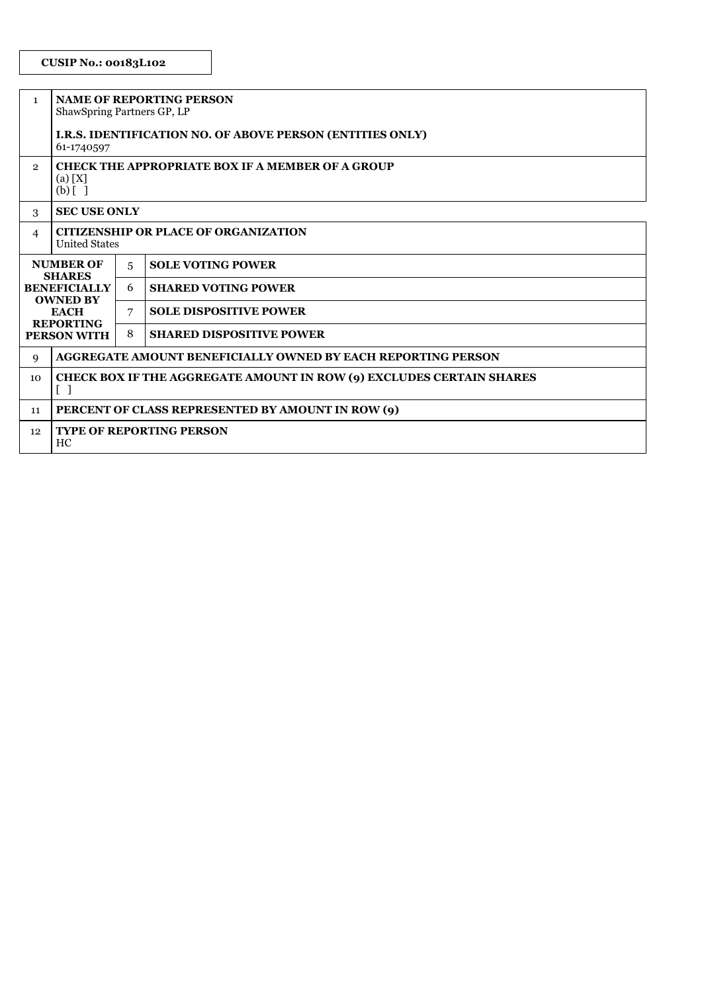# **CUSIP No.: 00183L102**

| $\mathbf{1}$                                                                                                                         | <b>NAME OF REPORTING PERSON</b><br>ShawSpring Partners GP, LP                                             |   |                                                              |  |
|--------------------------------------------------------------------------------------------------------------------------------------|-----------------------------------------------------------------------------------------------------------|---|--------------------------------------------------------------|--|
|                                                                                                                                      | <b>I.R.S. IDENTIFICATION NO. OF ABOVE PERSON (ENTITIES ONLY)</b><br>61-1740597                            |   |                                                              |  |
| $\overline{2}$                                                                                                                       | <b>CHECK THE APPROPRIATE BOX IF A MEMBER OF A GROUP</b><br>(a) [X]<br>$(b)$ [ ]                           |   |                                                              |  |
| 3                                                                                                                                    | <b>SEC USE ONLY</b>                                                                                       |   |                                                              |  |
| 4                                                                                                                                    | <b>CITIZENSHIP OR PLACE OF ORGANIZATION</b><br><b>United States</b>                                       |   |                                                              |  |
| <b>NUMBER OF</b><br><b>SHARES</b><br><b>BENEFICIALLY</b><br><b>OWNED BY</b><br><b>EACH</b><br><b>REPORTING</b><br><b>PERSON WITH</b> |                                                                                                           | 5 | <b>SOLE VOTING POWER</b>                                     |  |
|                                                                                                                                      |                                                                                                           | 6 | <b>SHARED VOTING POWER</b>                                   |  |
|                                                                                                                                      |                                                                                                           | 7 | <b>SOLE DISPOSITIVE POWER</b>                                |  |
|                                                                                                                                      |                                                                                                           | 8 | <b>SHARED DISPOSITIVE POWER</b>                              |  |
| 9                                                                                                                                    |                                                                                                           |   | AGGREGATE AMOUNT BENEFICIALLY OWNED BY EACH REPORTING PERSON |  |
| 10                                                                                                                                   | CHECK BOX IF THE AGGREGATE AMOUNT IN ROW (9) EXCLUDES CERTAIN SHARES<br>$\begin{bmatrix} 1 \end{bmatrix}$ |   |                                                              |  |
| 11                                                                                                                                   | PERCENT OF CLASS REPRESENTED BY AMOUNT IN ROW (9)                                                         |   |                                                              |  |
| 12                                                                                                                                   | <b>TYPE OF REPORTING PERSON</b><br>HC                                                                     |   |                                                              |  |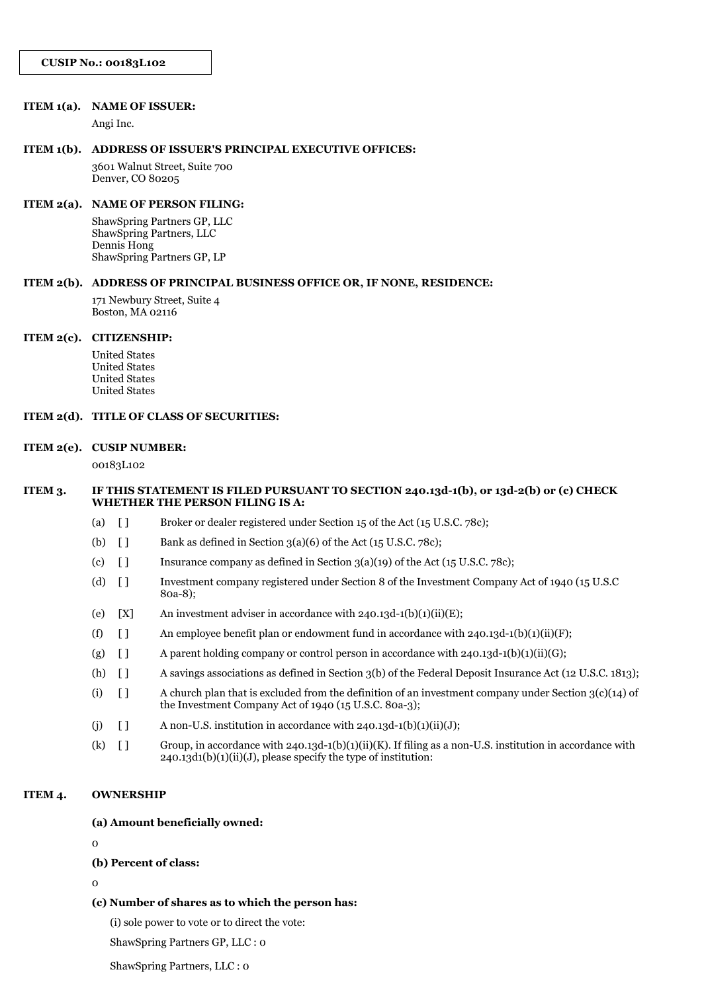#### **ITEM 1(a). NAME OF ISSUER:**

Angi Inc.

#### **ITEM 1(b). ADDRESS OF ISSUER'S PRINCIPAL EXECUTIVE OFFICES:**

3601 Walnut Street, Suite 700 Denver, CO 80205

# **ITEM 2(a). NAME OF PERSON FILING:**

ShawSpring Partners GP, LLC ShawSpring Partners, LLC Dennis Hong ShawSpring Partners GP, LP

#### **ITEM 2(b). ADDRESS OF PRINCIPAL BUSINESS OFFICE OR, IF NONE, RESIDENCE:**

171 Newbury Street, Suite 4 Boston, MA 02116

#### **ITEM 2(c). CITIZENSHIP:**

United States United States United States United States

#### **ITEM 2(d). TITLE OF CLASS OF SECURITIES:**

#### **ITEM 2(e). CUSIP NUMBER:**

00183L102

#### **ITEM 3. IF THIS STATEMENT IS FILED PURSUANT TO SECTION 240.13d-1(b), or 13d-2(b) or (c) CHECK WHETHER THE PERSON FILING IS A:**

- (a) [ ] Broker or dealer registered under Section 15 of the Act (15 U.S.C. 78c);
- (b)  $\Box$  Bank as defined in Section 3(a)(6) of the Act (15 U.S.C. 78c);
- (c)  $\begin{bmatrix} 1 \end{bmatrix}$  Insurance company as defined in Section 3(a)(19) of the Act (15 U.S.C. 78c);
- (d) [ ] Investment company registered under Section 8 of the Investment Company Act of 1940 (15 U.S.C 80a-8);
- (e)  $[X]$  An investment adviser in accordance with 240.13d-1(b)(1)(ii)(E);
- (f)  $\left[ \right]$  An employee benefit plan or endowment fund in accordance with 240.13d-1(b)(1)(ii)(F);
- (g)  $\begin{bmatrix} 1 \\ 4 \end{bmatrix}$  A parent holding company or control person in accordance with 240.13d-1(b)(1)(ii)(G);
- (h) [ ] A savings associations as defined in Section 3(b) of the Federal Deposit Insurance Act (12 U.S.C. 1813);
- (i)  $\lceil \rceil$  A church plan that is excluded from the definition of an investment company under Section 3(c)(14) of the Investment Company Act of 1940 (15 U.S.C. 80a-3);
- (j)  $\left[ \right]$  A non-U.S. institution in accordance with 240.13d-1(b)(1)(ii)(J);
- (k)  $[ ]$  Group, in accordance with 240.13d-1(b)(1)(ii)(K). If filing as a non-U.S. institution in accordance with  $240.13d1(b)(1)(ii)(J)$ , please specify the type of institution:

## **ITEM 4. OWNERSHIP**

#### **(a) Amount beneficially owned:**

 $\Omega$ 

#### **(b) Percent of class:**

 $\Omega$ 

#### **(c) Number of shares as to which the person has:**

(i) sole power to vote or to direct the vote:

ShawSpring Partners GP, LLC : 0

ShawSpring Partners, LLC : 0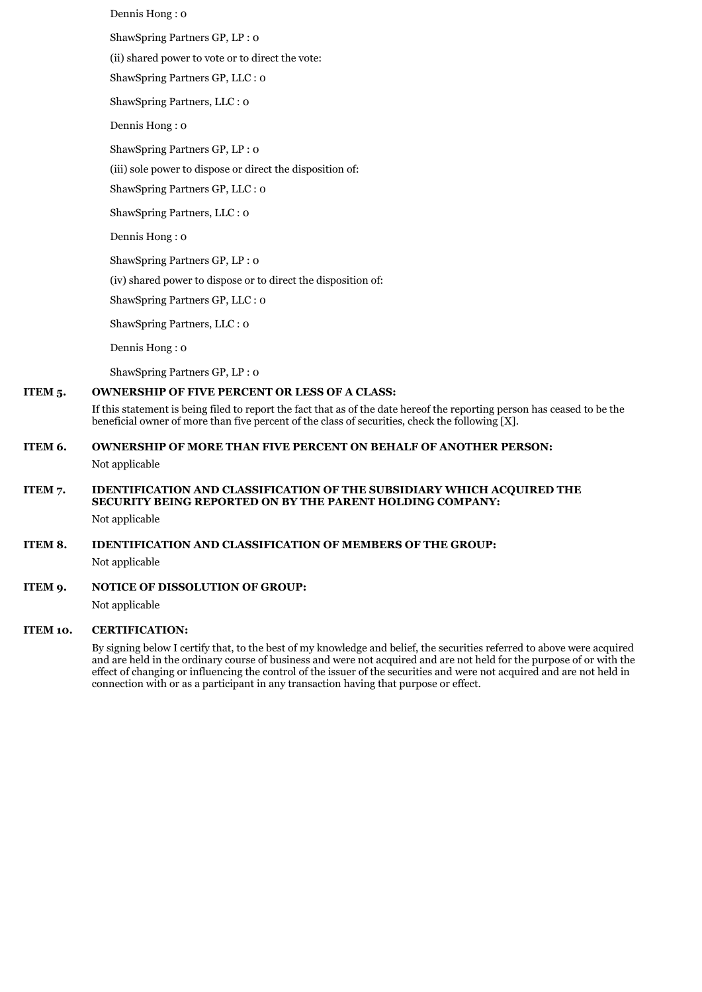Dennis Hong : 0 ShawSpring Partners GP, LP : 0 (ii) shared power to vote or to direct the vote: ShawSpring Partners GP, LLC : 0 ShawSpring Partners, LLC : 0 Dennis Hong : 0 ShawSpring Partners GP, LP : 0 (iii) sole power to dispose or direct the disposition of: ShawSpring Partners GP, LLC : 0 ShawSpring Partners, LLC : 0 Dennis Hong : 0

ShawSpring Partners GP, LP : 0 (iv) shared power to dispose or to direct the disposition of:

ShawSpring Partners GP, LLC : 0

ShawSpring Partners, LLC : 0

Dennis Hong : 0

ShawSpring Partners GP, LP : 0

### **ITEM 5. OWNERSHIP OF FIVE PERCENT OR LESS OF A CLASS:**

If this statement is being filed to report the fact that as of the date hereof the reporting person has ceased to be the beneficial owner of more than five percent of the class of securities, check the following [X].

# **ITEM 6. OWNERSHIP OF MORE THAN FIVE PERCENT ON BEHALF OF ANOTHER PERSON:**

Not applicable

# **ITEM 7. IDENTIFICATION AND CLASSIFICATION OF THE SUBSIDIARY WHICH ACQUIRED THE SECURITY BEING REPORTED ON BY THE PARENT HOLDING COMPANY:**

Not applicable

# **ITEM 8. IDENTIFICATION AND CLASSIFICATION OF MEMBERS OF THE GROUP:**

Not applicable

# **ITEM 9. NOTICE OF DISSOLUTION OF GROUP:**

Not applicable

#### **ITEM 10. CERTIFICATION:**

By signing below I certify that, to the best of my knowledge and belief, the securities referred to above were acquired and are held in the ordinary course of business and were not acquired and are not held for the purpose of or with the effect of changing or influencing the control of the issuer of the securities and were not acquired and are not held in connection with or as a participant in any transaction having that purpose or effect.